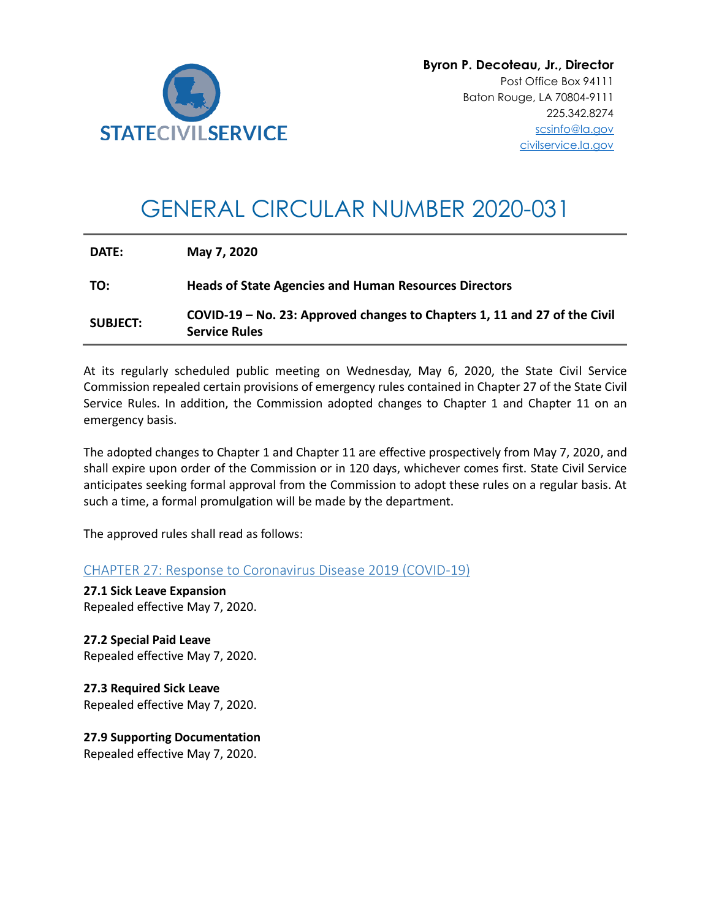

# GENERAL CIRCULAR NUMBER 2020-031

| <b>SUBJECT:</b> | COVID-19 - No. 23: Approved changes to Chapters 1, 11 and 27 of the Civil<br><b>Service Rules</b> |
|-----------------|---------------------------------------------------------------------------------------------------|
| TO:             | <b>Heads of State Agencies and Human Resources Directors</b>                                      |
| DATE:           | May 7, 2020                                                                                       |

At its regularly scheduled public meeting on Wednesday, May 6, 2020, the State Civil Service Commission repealed certain provisions of emergency rules contained in Chapter 27 of the State Civil Service Rules. In addition, the Commission adopted changes to Chapter 1 and Chapter 11 on an emergency basis.

The adopted changes to Chapter 1 and Chapter 11 are effective prospectively from May 7, 2020, and shall expire upon order of the Commission or in 120 days, whichever comes first. State Civil Service anticipates seeking formal approval from the Commission to adopt these rules on a regular basis. At such a time, a formal promulgation will be made by the department.

The approved rules shall read as follows:

CHAPTER 27: Response to Coronavirus Disease 2019 (COVID-19)

**27.1 Sick Leave Expansion** Repealed effective May 7, 2020.

**27.2 Special Paid Leave** Repealed effective May 7, 2020.

**27.3 Required Sick Leave** Repealed effective May 7, 2020.

**27.9 Supporting Documentation** Repealed effective May 7, 2020.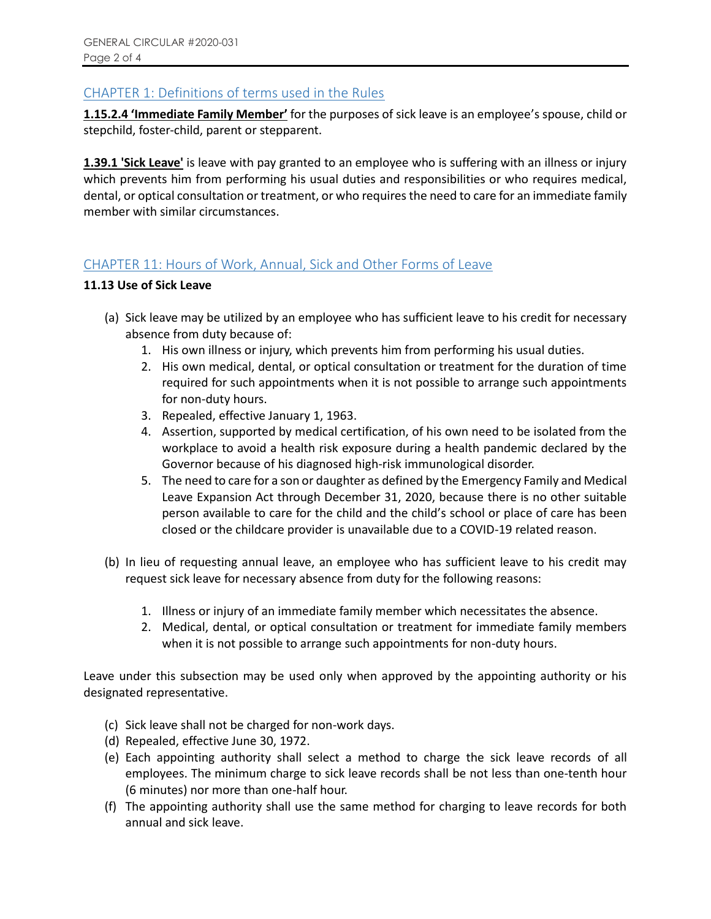## CHAPTER 1: Definitions of terms used in the Rules

**1.15.2.4 'Immediate Family Member'** for the purposes of sick leave is an employee's spouse, child or stepchild, foster-child, parent or stepparent.

**1.39.1 'Sick Leave'** is leave with pay granted to an employee who is suffering with an illness or injury which prevents him from performing his usual duties and responsibilities or who requires medical, dental, or optical consultation or treatment, or who requires the need to care for an immediate family member with similar circumstances.

### CHAPTER 11: Hours of Work, Annual, Sick and Other Forms of Leave

#### **11.13 Use of Sick Leave**

- (a) Sick leave may be utilized by an employee who has sufficient leave to his credit for necessary absence from duty because of:
	- 1. His own illness or injury, which prevents him from performing his usual duties.
	- 2. His own medical, dental, or optical consultation or treatment for the duration of time required for such appointments when it is not possible to arrange such appointments for non-duty hours.
	- 3. Repealed, effective January 1, 1963.
	- 4. Assertion, supported by medical certification, of his own need to be isolated from the workplace to avoid a health risk exposure during a health pandemic declared by the Governor because of his diagnosed high-risk immunological disorder.
	- 5. The need to care for a son or daughter as defined by the Emergency Family and Medical Leave Expansion Act through December 31, 2020, because there is no other suitable person available to care for the child and the child's school or place of care has been closed or the childcare provider is unavailable due to a COVID-19 related reason.
- (b) In lieu of requesting annual leave, an employee who has sufficient leave to his credit may request sick leave for necessary absence from duty for the following reasons:
	- 1. Illness or injury of an immediate family member which necessitates the absence.
	- 2. Medical, dental, or optical consultation or treatment for immediate family members when it is not possible to arrange such appointments for non-duty hours.

Leave under this subsection may be used only when approved by the appointing authority or his designated representative.

- (c) Sick leave shall not be charged for non-work days.
- (d) Repealed, effective June 30, 1972.
- (e) Each appointing authority shall select a method to charge the sick leave records of all employees. The minimum charge to sick leave records shall be not less than one-tenth hour (6 minutes) nor more than one-half hour.
- (f) The appointing authority shall use the same method for charging to leave records for both annual and sick leave.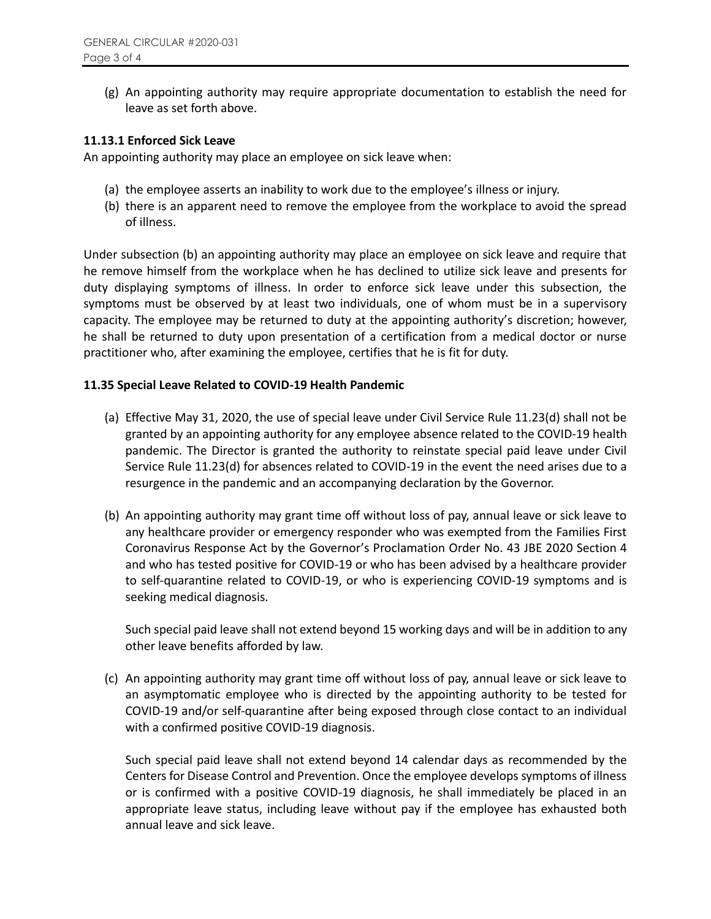(g) An appointing authority may require appropriate documentation to establish the need for leave as set forth above.

#### **11.13.1 Enforced Sick Leave**

An appointing authority may place an employee on sick leave when:

- (a) the employee asserts an inability to work due to the employee's illness or injury.
- (b) there is an apparent need to remove the employee from the workplace to avoid the spread of illness.

Under subsection (b) an appointing authority may place an employee on sick leave and require that he remove himself from the workplace when he has declined to utilize sick leave and presents for duty displaying symptoms of illness. In order to enforce sick leave under this subsection, the symptoms must be observed by at least two individuals, one of whom must be in a supervisory capacity. The employee may be returned to duty at the appointing authority's discretion; however, he shall be returned to duty upon presentation of a certification from a medical doctor or nurse practitioner who, after examining the employee, certifies that he is fit for duty.

#### **11.35 Special Leave Related to COVID-19 Health Pandemic**

- (a) Effective May 31, 2020, the use of special leave under Civil Service Rule 11.23(d) shall not be granted by an appointing authority for any employee absence related to the COVID-19 health pandemic. The Director is granted the authority to reinstate special paid leave under Civil Service Rule 11.23(d) for absences related to COVID-19 in the event the need arises due to a resurgence in the pandemic and an accompanying declaration by the Governor.
- (b) An appointing authority may grant time off without loss of pay, annual leave or sick leave to any healthcare provider or emergency responder who was exempted from the Families First Coronavirus Response Act by the Governor's Proclamation Order No. 43 JBE 2020 Section 4 and who has tested positive for COVID-19 or who has been advised by a healthcare provider to self-quarantine related to COVID-19, or who is experiencing COVID-19 symptoms and is seeking medical diagnosis.

Such special paid leave shall not extend beyond 15 working days and will be in addition to any other leave benefits afforded by law.

(c) An appointing authority may grant time off without loss of pay, annual leave or sick leave to an asymptomatic employee who is directed by the appointing authority to be tested for COVID-19 and/or self-quarantine after being exposed through close contact to an individual with a confirmed positive COVID-19 diagnosis.

Such special paid leave shall not extend beyond 14 calendar days as recommended by the Centers for Disease Control and Prevention. Once the employee develops symptoms of illness or is confirmed with a positive COVID-19 diagnosis, he shall immediately be placed in an appropriate leave status, including leave without pay if the employee has exhausted both annual leave and sick leave.